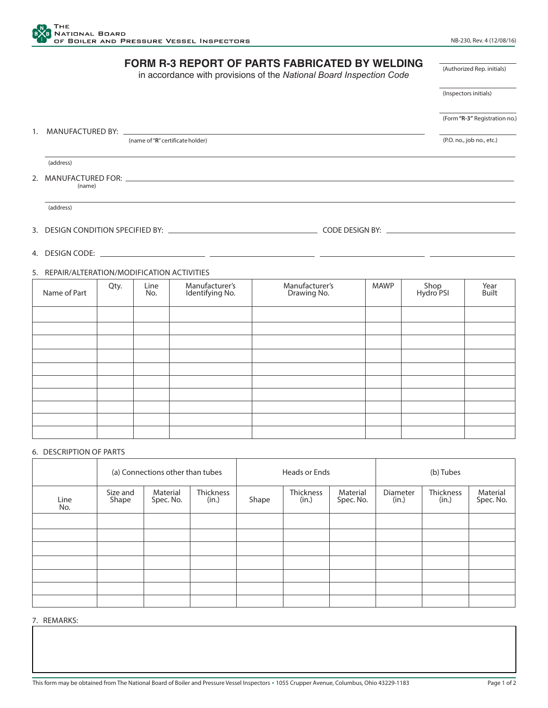

## **FORM R-3 REPORT OF PARTS FABRICATED BY WELDING** in accordance with provisions of the *National Board Inspection Code* 1. MANUFACTURED BY: (name of "**R**" certificate holder) (address) 2. MANUFACTURED FOR: \_ (address) 3. DESIGN CONDITION SPECIFIED BY: COLLECTION CONDITION SPECIFIED BY: (Form **"R-3"** Registration no.) (Inspectors initials) (Authorized Rep. initials) (P.O. no., job no., etc.)

4. DESIGN CODE:

## 5. REPAIR/ALTERATION/MODIFICATION ACTIVITIES

| Name of Part | Qty. | Line<br>No. | Manufacturer's<br>Identifying No. | Manufacturer's<br>Drawing No. | <b>MAWP</b> | Shop<br>Hydro PSI | Year<br><b>Built</b> |
|--------------|------|-------------|-----------------------------------|-------------------------------|-------------|-------------------|----------------------|
|              |      |             |                                   |                               |             |                   |                      |
|              |      |             |                                   |                               |             |                   |                      |
|              |      |             |                                   |                               |             |                   |                      |
|              |      |             |                                   |                               |             |                   |                      |
|              |      |             |                                   |                               |             |                   |                      |
|              |      |             |                                   |                               |             |                   |                      |
|              |      |             |                                   |                               |             |                   |                      |
|              |      |             |                                   |                               |             |                   |                      |
|              |      |             |                                   |                               |             |                   |                      |
|              |      |             |                                   |                               |             |                   |                      |

## 6. DESCRIPTION OF PARTS

|             | (a) Connections other than tubes |                       |                    | Heads or Ends |                    |                       | (b) Tubes         |                    |                       |
|-------------|----------------------------------|-----------------------|--------------------|---------------|--------------------|-----------------------|-------------------|--------------------|-----------------------|
| Line<br>No. | Size and<br>Shape                | Material<br>Spec. No. | Thickness<br>(in.) | Shape         | Thickness<br>(in.) | Material<br>Spec. No. | Diameter<br>(in.) | Thickness<br>(in.) | Material<br>Spec. No. |
|             |                                  |                       |                    |               |                    |                       |                   |                    |                       |
|             |                                  |                       |                    |               |                    |                       |                   |                    |                       |
|             |                                  |                       |                    |               |                    |                       |                   |                    |                       |
|             |                                  |                       |                    |               |                    |                       |                   |                    |                       |
|             |                                  |                       |                    |               |                    |                       |                   |                    |                       |
|             |                                  |                       |                    |               |                    |                       |                   |                    |                       |
|             |                                  |                       |                    |               |                    |                       |                   |                    |                       |

7. REMARKS: